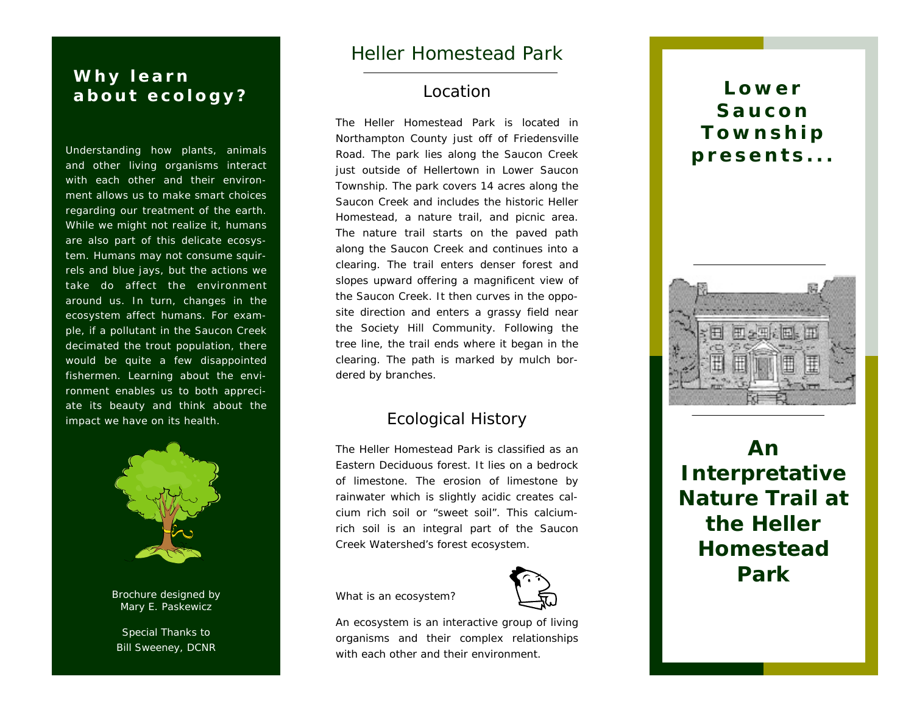# *Why learn*  about ecology? **Location Lower Lower Lower**

*Understanding how plants, animals and other living organisms interact with each other and their environment allows us to make smart choices regarding our treatment of the earth. While we might not realize it, humans are also part of this delicate ecosystem. Humans may not consume squirrels and blue jays, but the actions we take do affect the environment around us. In turn, changes in the ecosystem affect humans. For example, if a pollutant in the Saucon Creek decimated the trout population, there would be quite a few disappointed fishermen. Learning about the environment enables us to both appreciate its beauty and think about the impact we have on its health.* 



Brochure designed by Mary E. Paskewicz

Special Thanks to Bill Sweeney, DCNR

# Heller Homestead Park

### Location

The Heller Homestead Park is located in Northampton County just off of Friedensville Road. The park lies along the Saucon Creek just outside of Hellertown in Lower Saucon Township. The park covers 14 acres along the Saucon Creek and includes the historic Heller Homestead, a nature trail, and picnic area. The nature trail starts on the paved path along the Saucon Creek and continues into a clearing. The trail enters denser forest and slopes upward offering a magnificent view of the Saucon Creek. It then curves in the opposite direction and enters a grassy field near the Society Hill Community. Following the tree line, the trail ends where it began in the clearing. The path is marked by mulch bordered by branches.

## Ecological History

The Heller Homestead Park is classified as an Eastern Deciduous forest. It lies on a bedrock of limestone. The erosion of limestone by rainwater which is slightly acidic creates calcium rich soil or "sweet soil". This calciumrich soil is an integral part of the Saucon Creek Watershed's forest ecosystem.



What is an ecosystem?

An ecosystem is an interactive group of living organisms and their complex relationships with each other and their environment.

# **Township presents...**



**An Interpretative Nature Trail at the Heller Homestead Park**